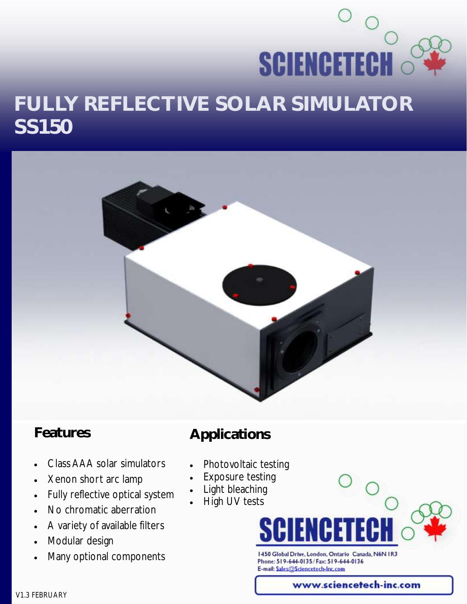# **SCIENCETECH FULLY REFLECTIVE SOLAR SIMULATOR SS150**



#### **Features**

- **Applications**
- Class AAA solar simulators
- Xenon short arc lamp
- Fully reflective optical system
- No chromatic aberration
- A variety of available filters
- Modular design
- Many optional components
- Photovoltaic testing
- Exposure testing
- Light bleaching
- High UV tests

1450 Global Drive, London, Ontario Canada, N6N 1R3 Phone: 519-644-0135/Fax: 519-644-0136 E-mail: Sales@Sciencetech-Inc.com

www.sciencetech-inc.com

V1.3 FEBRUARY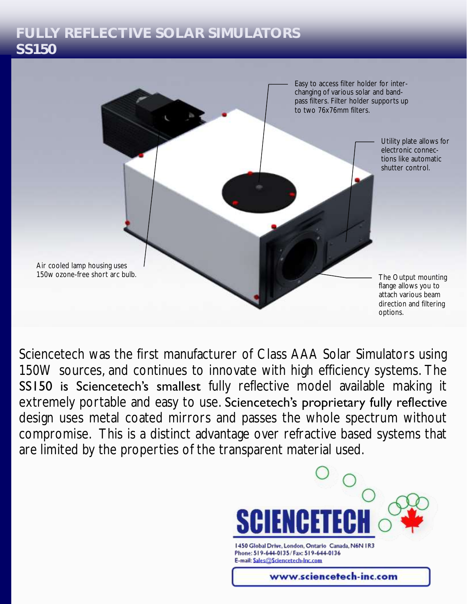#### **FULLY REFLECTIVE SOLAR SIMULATORS SS150**



Sciencetech was the first manufacturer of Class AAA Solar Simulators using 150W sources, and continues to innovate with high efficiency systems. The SS150 is Sciencetech's smallest fully reflective model available making it extremely portable and easy to use. Sciencetech's proprietary fully reflective design uses metal coated mirrors and passes the whole spectrum without compromise. This is a distinct advantage over refractive based systems that are limited by the properties of the transparent material used.

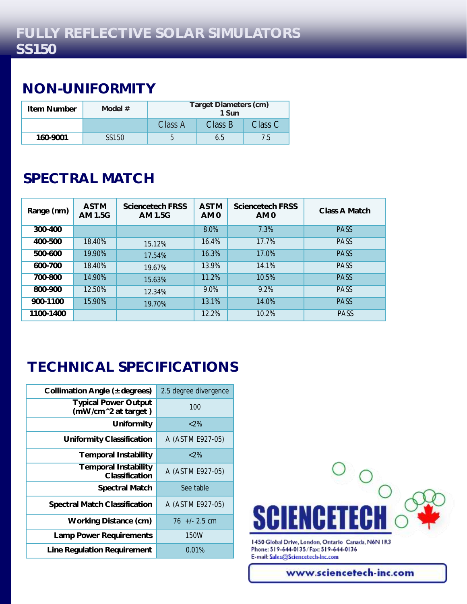## **NON-UNIFORMITY**

| Item Number | Model # | Target Diameters (cm)<br>1 Sun |         |         |
|-------------|---------|--------------------------------|---------|---------|
|             |         | Class A                        | Class B | Class C |
| 160-9001    | SS150   |                                | 65      |         |

# **SPECTRAL MATCH**

| Range (nm) | <b>ASTM</b><br>AM 1.5G | Sciencetech FRSS<br>AM 1.5G | <b>ASTM</b><br>AM <sub>0</sub> | Sciencetech FRSS<br>AM <sub>0</sub> | Class A Match |
|------------|------------------------|-----------------------------|--------------------------------|-------------------------------------|---------------|
| 300-400    |                        |                             | 8.0%                           | 7.3%                                | <b>PASS</b>   |
| 400-500    | 18.40%                 | 15.12%                      | 16.4%                          | 17.7%                               | <b>PASS</b>   |
| 500-600    | 19.90%                 | 17.54%                      | 16.3%                          | 17.0%                               | <b>PASS</b>   |
| 600-700    | 18.40%                 | 19.67%                      | 13.9%                          | 14.1%                               | <b>PASS</b>   |
| 700-800    | 14.90%                 | 15.63%                      | 11.2%                          | 10.5%                               | <b>PASS</b>   |
| 800-900    | 12.50%                 | 12.34%                      | 9.0%                           | 9.2%                                | <b>PASS</b>   |
| 900-1100   | 15.90%                 | 19.70%                      | 13.1%                          | 14.0%                               | <b>PASS</b>   |
| 1100-1400  |                        |                             | 12.2%                          | 10.2%                               | PASS          |

# **TECHNICAL SPECIFICATIONS**

| Collimation Angle (± degrees)                      | 2.5 degree divergence |
|----------------------------------------------------|-----------------------|
| <b>Typical Power Output</b><br>(mW/cm^2 at target) | 100                   |
| Uniformity                                         | ${<}2\%$              |
| Uniformity Classification                          | A (ASTM E927-05)      |
| Temporal Instability                               | ${<}2\%$              |
| Temporal Instability<br>Classification             | A (ASTM E927-05)      |
| Spectral Match                                     | See table             |
| Spectral Match Classification                      | A (ASTM E927-05)      |
| Working Distance (cm)                              | $76 + 2.5$ cm         |
| Lamp Power Requirements                            | 150W                  |
| Line Regulation Requirement                        | 0.01%                 |



1450 Global Drive, London, Ontario Canada, N6N IR3 Phone: 519-644-0135/Fax: 519-644-0136 E-mail: Sales@Sciencetech-Inc.com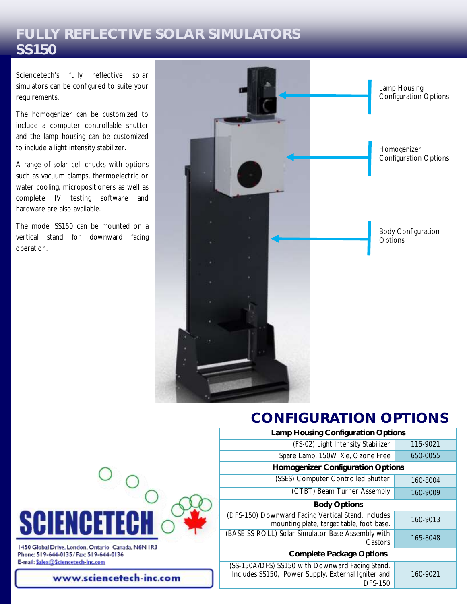#### **FULLY REFLECTIVE SOLAR SIMULATORS SS150**

Sciencetech's fully reflective solar simulators can be configured to suite your requirements.

The homogenizer can be customized to include a computer controllable shutter and the lamp housing can be customized to include a light intensity stabilizer.

A range of solar cell chucks with options such as vacuum clamps, thermoelectric or water cooling, micropositioners as well as complete IV testing software and hardware are also available.

The model SS150 can be mounted on a vertical stand for downward facing operation.



## **CONFIGURATION OPTIONS**

|                                    | Lamp Housing Configuration Options                                                                    |          |
|------------------------------------|-------------------------------------------------------------------------------------------------------|----------|
| (FS-02) Light Intensity Stabilizer |                                                                                                       | 115-9021 |
|                                    | Spare Lamp, 150W Xe, Ozone Free                                                                       | 650-0055 |
| Homogenizer Configuration Options  |                                                                                                       |          |
|                                    | (SSES) Computer Controlled Shutter                                                                    | 160-8004 |
| (CTBT) Beam Turner Assembly        |                                                                                                       | 160-9009 |
| Body Options                       |                                                                                                       |          |
|                                    | (DFS-150) Downward Facing Vertical Stand. Includes<br>mounting plate, target table, foot base.        | 160-9013 |
| Castors                            | (BASE-SS-ROLL) Solar Simulator Base Assembly with                                                     | 165-8048 |
| Complete Package Options           |                                                                                                       |          |
| DFS-150                            | (SS-150A/DFS) SS150 with Downward Facing Stand.<br>Includes SS150, Power Supply, External Igniter and | 160-9021 |



Phone: 519-644-0135/Fax: 519-644-0136 E-mail: Sales@Sciencetech-Inc.com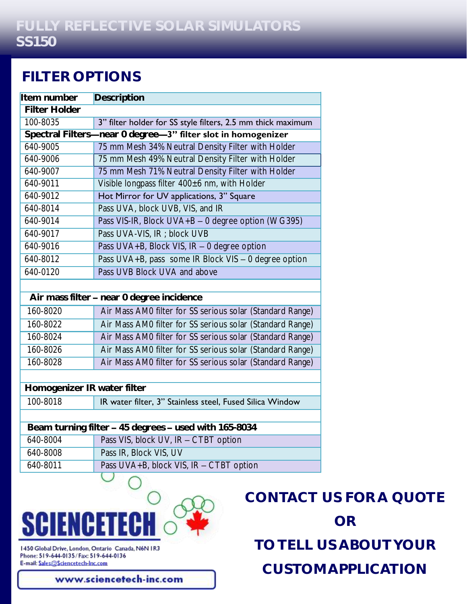#### **FILTER OPTIONS**

| Item number                                           | Description                                                  |  |
|-------------------------------------------------------|--------------------------------------------------------------|--|
| <b>Filter Holder</b>                                  |                                                              |  |
| 100-8035                                              | 3" filter holder for SS style filters, 2.5 mm thick maximum  |  |
|                                                       | Spectral Filters-near 0 degree-3" filter slot in homogenizer |  |
| 640-9005                                              | 75 mm Mesh 34% Neutral Density Filter with Holder            |  |
| 640-9006                                              | 75 mm Mesh 49% Neutral Density Filter with Holder            |  |
| 640-9007                                              | 75 mm Mesh 71% Neutral Density Filter with Holder            |  |
| 640-9011                                              | Visible longpass filter 400±6 nm, with Holder                |  |
| 640-9012                                              | Hot Mirror for UV applications, 3" Square                    |  |
| 640-8014                                              | Pass UVA, block UVB, VIS, and IR                             |  |
| 640-9014                                              | Pass VIS-IR, Block UVA+B - 0 degree option (WG395)           |  |
| 640-9017                                              | Pass UVA-VIS, IR ; block UVB                                 |  |
| 640-9016                                              | Pass UVA+B, Block VIS, IR - 0 degree option                  |  |
| 640-8012                                              | Pass UVA+B, pass some IR Block VIS - 0 degree option         |  |
| 640-0120                                              | Pass UVB Block UVA and above                                 |  |
|                                                       |                                                              |  |
| Air mass filter - near 0 degree incidence             |                                                              |  |
| 160-8020                                              | Air Mass AM0 filter for SS serious solar (Standard Range)    |  |
| 160-8022                                              | Air Mass AM0 filter for SS serious solar (Standard Range)    |  |
| 160-8024                                              | Air Mass AM0 filter for SS serious solar (Standard Range)    |  |
| 160-8026                                              | Air Mass AM0 filter for SS serious solar (Standard Range)    |  |
| 160-8028                                              | Air Mass AM0 filter for SS serious solar (Standard Range)    |  |
|                                                       |                                                              |  |
| Homogenizer IR water filter                           |                                                              |  |
| 100-8018                                              | IR water filter, 3" Stainless steel, Fused Silica Window     |  |
|                                                       |                                                              |  |
| Beam turning filter - 45 degrees - used with 165-8034 |                                                              |  |
| 640-8004                                              | Pass VIS, block UV, IR - CTBT option                         |  |
| 640-8008                                              | Pass IR, Block VIS, UV                                       |  |
| 640-8011                                              | Pass UVA+B, block VIS, IR - CTBT option                      |  |
|                                                       |                                                              |  |



1450 Global Drive, London, Ontario Canada, N6N IR3 Phone: 519-644-0135/Fax: 519-644-0136 E-mail: Sales@Sciencetech-Inc.com

www.sciencetech-inc.com

**CONTACT US FOR A QUOTE OR TO TELL US ABOUT YOUR CUSTOM APPLICATION**